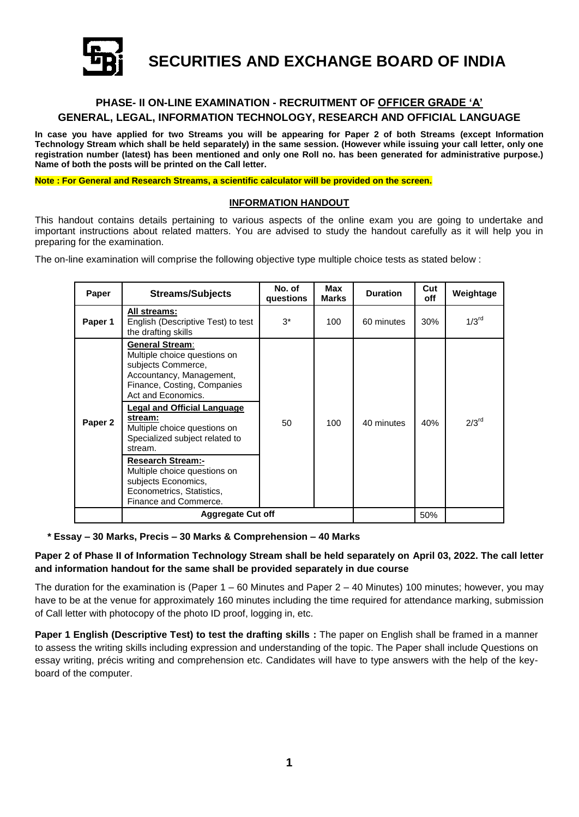

**SECURITIES AND EXCHANGE BOARD OF INDIA**

# **PHASE- II ON-LINE EXAMINATION - RECRUITMENT OF OFFICER GRADE 'A' GENERAL, LEGAL, INFORMATION TECHNOLOGY, RESEARCH AND OFFICIAL LANGUAGE**

**In case you have applied for two Streams you will be appearing for Paper 2 of both Streams (except Information Technology Stream which shall be held separately) in the same session. (However while issuing your call letter, only one registration number (latest) has been mentioned and only one Roll no. has been generated for administrative purpose.) Name of both the posts will be printed on the Call letter.**

**Note : For General and Research Streams, a scientific calculator will be provided on the screen.**

#### **INFORMATION HANDOUT**

This handout contains details pertaining to various aspects of the online exam you are going to undertake and important instructions about related matters. You are advised to study the handout carefully as it will help you in preparing for the examination.

The on-line examination will comprise the following objective type multiple choice tests as stated below :

| Paper   | <b>Streams/Subjects</b>                                                                                                                                                                                                                                                                                                                                                                                                       | No. of<br>questions | Max<br><b>Marks</b> | <b>Duration</b> | Cut<br>off | Weightage           |
|---------|-------------------------------------------------------------------------------------------------------------------------------------------------------------------------------------------------------------------------------------------------------------------------------------------------------------------------------------------------------------------------------------------------------------------------------|---------------------|---------------------|-----------------|------------|---------------------|
| Paper 1 | All streams:<br>English (Descriptive Test) to test<br>the drafting skills                                                                                                                                                                                                                                                                                                                                                     | $3^*$               | 100                 | 60 minutes      | 30%        | $1/3$ <sup>rd</sup> |
| Paper 2 | <b>General Stream:</b><br>Multiple choice questions on<br>subjects Commerce,<br>Accountancy, Management,<br>Finance, Costing, Companies<br>Act and Economics.<br>Legal and Official Language<br>stream:<br>Multiple choice questions on<br>Specialized subject related to<br>stream.<br><b>Research Stream:-</b><br>Multiple choice questions on<br>subjects Economics,<br>Econometrics, Statistics,<br>Finance and Commerce. | 50                  | 100                 | 40 minutes      | 40%        | $2/3$ <sup>rd</sup> |
|         | <b>Aggregate Cut off</b>                                                                                                                                                                                                                                                                                                                                                                                                      |                     |                     |                 | 50%        |                     |

 **\* Essay – 30 Marks, Precis – 30 Marks & Comprehension – 40 Marks**

## **Paper 2 of Phase II of Information Technology Stream shall be held separately on April 03, 2022. The call letter and information handout for the same shall be provided separately in due course**

The duration for the examination is (Paper  $1 - 60$  Minutes and Paper  $2 - 40$  Minutes) 100 minutes; however, you may have to be at the venue for approximately 160 minutes including the time required for attendance marking, submission of Call letter with photocopy of the photo ID proof, logging in, etc.

**Paper 1 English (Descriptive Test) to test the drafting skills :** The paper on English shall be framed in a manner to assess the writing skills including expression and understanding of the topic. The Paper shall include Questions on essay writing, précis writing and comprehension etc. Candidates will have to type answers with the help of the keyboard of the computer.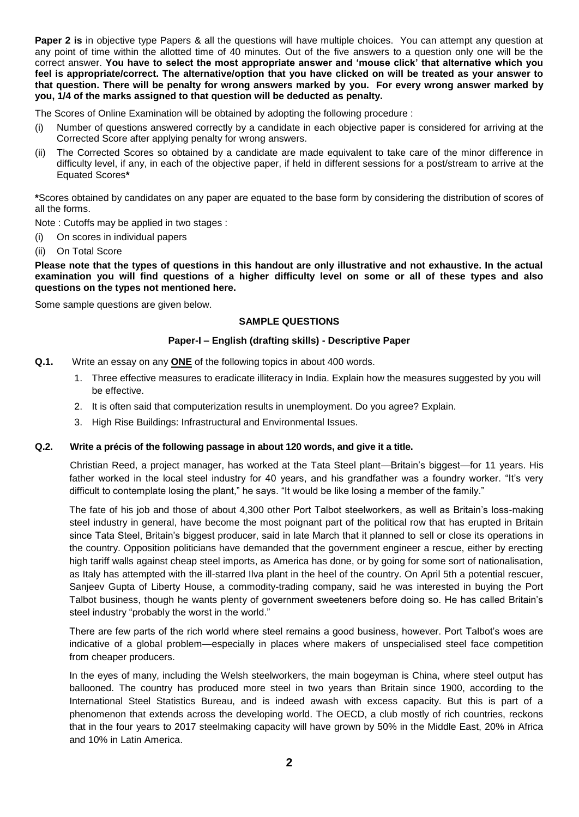**Paper 2 is** in objective type Papers & all the questions will have multiple choices. You can attempt any question at any point of time within the allotted time of 40 minutes. Out of the five answers to a question only one will be the correct answer. **You have to select the most appropriate answer and 'mouse click' that alternative which you feel is appropriate/correct. The alternative/option that you have clicked on will be treated as your answer to that question. There will be penalty for wrong answers marked by you. For every wrong answer marked by you, 1/4 of the marks assigned to that question will be deducted as penalty.**

The Scores of Online Examination will be obtained by adopting the following procedure :

- (i) Number of questions answered correctly by a candidate in each objective paper is considered for arriving at the Corrected Score after applying penalty for wrong answers.
- (ii) The Corrected Scores so obtained by a candidate are made equivalent to take care of the minor difference in difficulty level, if any, in each of the objective paper, if held in different sessions for a post/stream to arrive at the Equated Scores**\***

**\***Scores obtained by candidates on any paper are equated to the base form by considering the distribution of scores of all the forms.

Note : Cutoffs may be applied in two stages :

- (i) On scores in individual papers
- (ii) On Total Score

**Please note that the types of questions in this handout are only illustrative and not exhaustive. In the actual examination you will find questions of a higher difficulty level on some or all of these types and also questions on the types not mentioned here.**

Some sample questions are given below.

#### **SAMPLE QUESTIONS**

#### **Paper-I – English (drafting skills) - Descriptive Paper**

- **Q.1.** Write an essay on any **ONE** of the following topics in about 400 words.
	- 1. Three effective measures to eradicate illiteracy in India. Explain how the measures suggested by you will be effective.
	- 2. It is often said that computerization results in unemployment. Do you agree? Explain.
	- 3. High Rise Buildings: Infrastructural and Environmental Issues.

#### **Q.2. Write a précis of the following passage in about 120 words, and give it a title.**

Christian Reed, a project manager, has worked at the Tata Steel plant—Britain's biggest—for 11 years. His father worked in the local steel industry for 40 years, and his grandfather was a foundry worker. "It's very difficult to contemplate losing the plant," he says. "It would be like losing a member of the family."

The fate of his job and those of about 4,300 other Port Talbot steelworkers, as well as Britain's loss-making steel industry in general, have become the most poignant part of the political row that has erupted in Britain since Tata Steel, Britain's biggest producer, said in late March that it planned to sell or close its operations in the country. Opposition politicians have demanded that the government engineer a rescue, either by erecting high tariff walls against cheap steel imports, as America has done, or by going for some sort of nationalisation, as Italy has attempted with the ill-starred Ilva plant in the heel of the country. On April 5th a potential rescuer, Sanjeev Gupta of Liberty House, a commodity-trading company, said he was interested in buying the Port Talbot business, though he wants plenty of government sweeteners before doing so. He has called Britain's steel industry "probably the worst in the world."

There are few parts of the rich world where steel remains a good business, however. Port Talbot's woes are indicative of a global problem—especially in places where makers of unspecialised steel face competition from cheaper producers.

In the eyes of many, including the Welsh steelworkers, the main bogeyman is China, where steel output has ballooned. The country has produced more steel in two years than Britain since 1900, according to the International Steel Statistics Bureau, and is indeed awash with excess capacity. But this is part of a phenomenon that extends across the developing world. The OECD, a club mostly of rich countries, reckons that in the four years to 2017 steelmaking capacity will have grown by 50% in the Middle East, 20% in Africa and 10% in Latin America.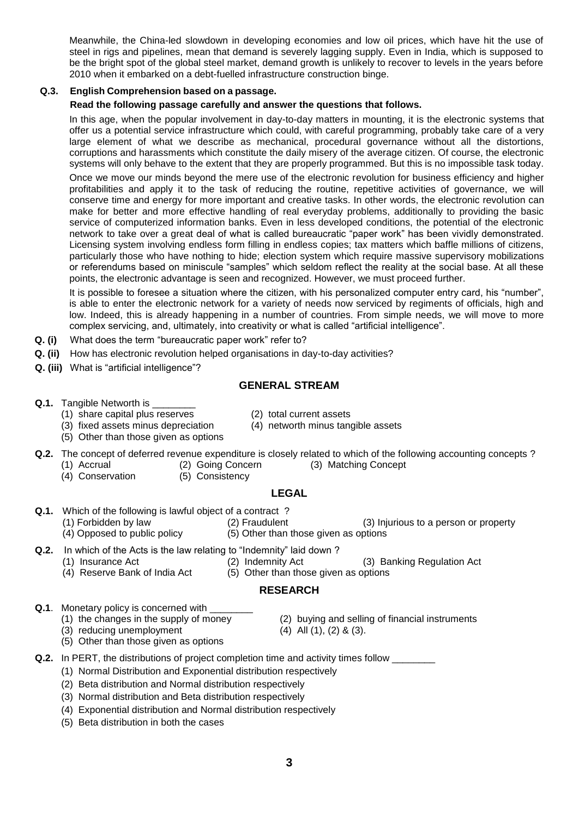Meanwhile, the China-led slowdown in developing economies and low oil prices, which have hit the use of steel in rigs and pipelines, mean that demand is severely lagging supply. Even in India, which is supposed to be the bright spot of the global steel market, demand growth is unlikely to recover to levels in the years before 2010 when it embarked on a debt-fuelled infrastructure construction binge.

## **Q.3. English Comprehension based on a passage.**

## **Read the following passage carefully and answer the questions that follows.**

In this age, when the popular involvement in day-to-day matters in mounting, it is the electronic systems that offer us a potential service infrastructure which could, with careful programming, probably take care of a very large element of what we describe as mechanical, procedural governance without all the distortions, corruptions and harassments which constitute the daily misery of the average citizen. Of course, the electronic systems will only behave to the extent that they are properly programmed. But this is no impossible task today.

Once we move our minds beyond the mere use of the electronic revolution for business efficiency and higher profitabilities and apply it to the task of reducing the routine, repetitive activities of governance, we will conserve time and energy for more important and creative tasks. In other words, the electronic revolution can make for better and more effective handling of real everyday problems, additionally to providing the basic service of computerized information banks. Even in less developed conditions, the potential of the electronic network to take over a great deal of what is called bureaucratic "paper work" has been vividly demonstrated. Licensing system involving endless form filling in endless copies; tax matters which baffle millions of citizens, particularly those who have nothing to hide; election system which require massive supervisory mobilizations or referendums based on miniscule "samples" which seldom reflect the reality at the social base. At all these points, the electronic advantage is seen and recognized. However, we must proceed further.

It is possible to foresee a situation where the citizen, with his personalized computer entry card, his "number", is able to enter the electronic network for a variety of needs now serviced by regiments of officials, high and low. Indeed, this is already happening in a number of countries. From simple needs, we will move to more complex servicing, and, ultimately, into creativity or what is called "artificial intelligence".

- **Q. (i)** What does the term "bureaucratic paper work" refer to?
- **Q. (ii)** How has electronic revolution helped organisations in day-to-day activities?
- **Q. (iii)** What is "artificial intelligence"?

# **GENERAL STREAM**

- **Q.1.** Tangible Networth is \_\_\_
	- (1) share capital plus reserves (2) total current assets
	-
	- (5) Other than those given as options
- 
- (3) fixed assets minus depreciation (4) networth minus tangible assets
- **Q.2.** The concept of deferred revenue expenditure is closely related to which of the following accounting concepts ?
	-
	- (1) Accrual (2) Going Concern (3) Matching Concept
	- (4) Conservation (5) Consistency

## **LEGAL**

- **Q.1.** Which of the following is lawful object of a contract ?
	- (1) Forbidden by law (2) Fraudulent (3) Injurious to a person or property
		-
		- (4) Opposed to public policy (5) Other than those given as options
- **Q.2.** In which of the Acts is the law relating to "Indemnity" laid down?
	- (1) Insurance Act (2) Indemnity Act (3) Banking Regulation Act
		-
	- (4) Reserve Bank of India Act (5) Other than those given as options

## **RESEARCH**

- **Q.1**. Monetary policy is concerned with
	- (1) the changes in the supply of money (2) buying and selling of financial instruments
		-
	- (3) reducing unemployment (4) All (1), (2) & (3).
- - (5) Other than those given as options
- **Q.2.** In PERT, the distributions of project completion time and activity times follow \_\_\_\_\_\_\_
	- (1) Normal Distribution and Exponential distribution respectively
	- (2) Beta distribution and Normal distribution respectively
	- (3) Normal distribution and Beta distribution respectively
	- (4) Exponential distribution and Normal distribution respectively
	- (5) Beta distribution in both the cases
- 
- 
-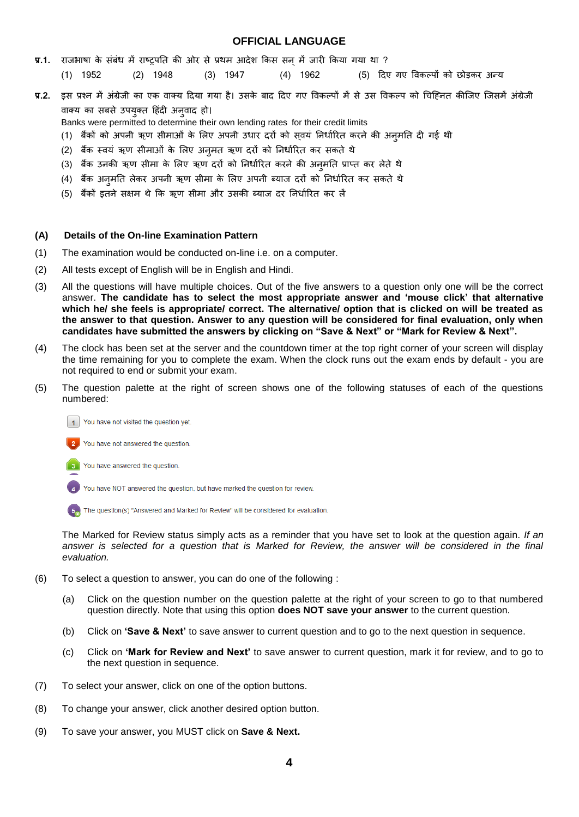#### **OFFICIAL LANGUAGE**

- **प्र.1.** राजभाषा के संबंध में राष्ट्रपति की ओर से प्रथम आदेश किस सन् में जारी किया गया था ?
	- (1) 1952 (2) 1948 (3) 1947 (4) 1962 (5)
- **प्र.2.** इस प्रश्न में अंग्रेजी का एक वाक्य दिया गया है। उसके बाद दिए गए विकल्पों में से उस विकल्प को चिह्नित कीजिए जिसमें अंग्रेजी वाक्य का सबसे उपयुक्त हिंदी अनवाद हो।

Banks were permitted to determine their own lending rates for their credit limits

- (1) बैंकों को अपनी ऋण सीमाओं के लिए अपनी उधार दरों को सवयं निर्धारित करने की अनमति दी गई थी
- (2) बैंक स्वयं ऋण सीमाओं के लिए अन्**मत ऋण दरों को निर्धारित कर सकते** थे
- (3) बैंक उनकी ऋण सीमा के लिए ऋण दरों को निर्धारित करने की अन्मति प्राप्त कर लेते थे
- (4) बैंक अनमति लेकर अपनी ऋण सीमा के लिए अपनी ब्याज दरों को निर्धारित कर सकते थे
- (5) बैंकों इतने सक्षम थे कि ऋण सीमा और उसकी ब्याज दर निर्धारित कर लें

#### **(A) Details of the On-line Examination Pattern**

- (1) The examination would be conducted on-line i.e. on a computer.
- (2) All tests except of English will be in English and Hindi.
- (3) All the questions will have multiple choices. Out of the five answers to a question only one will be the correct answer. **The candidate has to select the most appropriate answer and 'mouse click' that alternative which he/ she feels is appropriate/ correct. The alternative/ option that is clicked on will be treated as the answer to that question. Answer to any question will be considered for final evaluation, only when candidates have submitted the answers by clicking on "Save & Next" or "Mark for Review & Next".**
- (4) The clock has been set at the server and the countdown timer at the top right corner of your screen will display the time remaining for you to complete the exam. When the clock runs out the exam ends by default - you are not required to end or submit your exam.
- (5) The question palette at the right of screen shows one of the following statuses of each of the questions numbered:
	- You have not visited the question yet.
	- You have not answered the question
	- You have answered the question.  $-3$

You have NOT answered the question, but have marked the question for review.

The question(s) "Answered and Marked for Review" will be considered for evaluation.

The Marked for Review status simply acts as a reminder that you have set to look at the question again. *If an*  answer is selected for a question that is Marked for Review, the answer will be considered in the final *evaluation.*

- (6) To select a question to answer, you can do one of the following :
	- (a) Click on the question number on the question palette at the right of your screen to go to that numbered question directly. Note that using this option **does NOT save your answer** to the current question.
	- (b) Click on **'Save & Next'** to save answer to current question and to go to the next question in sequence.
	- (c) Click on **'Mark for Review and Next'** to save answer to current question, mark it for review, and to go to the next question in sequence.
- (7) To select your answer, click on one of the option buttons.
- (8) To change your answer, click another desired option button.
- (9) To save your answer, you MUST click on **Save & Next.**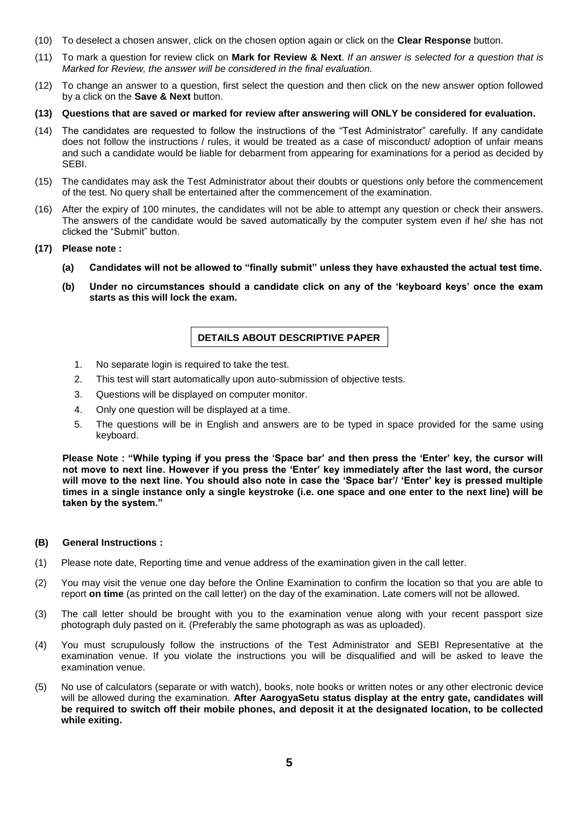- (10) To deselect a chosen answer, click on the chosen option again or click on the **Clear Response** button.
- (11) To mark a question for review click on **Mark for Review & Next**. *If an answer is selected for a question that is Marked for Review, the answer will be considered in the final evaluation.*
- (12) To change an answer to a question, first select the question and then click on the new answer option followed by a click on the **Save & Next** button.
- **(13) Questions that are saved or marked for review after answering will ONLY be considered for evaluation.**
- (14) The candidates are requested to follow the instructions of the "Test Administrator" carefully. If any candidate does not follow the instructions / rules, it would be treated as a case of misconduct/ adoption of unfair means and such a candidate would be liable for debarment from appearing for examinations for a period as decided by SEBI.
- (15) The candidates may ask the Test Administrator about their doubts or questions only before the commencement of the test. No query shall be entertained after the commencement of the examination.
- (16) After the expiry of 100 minutes, the candidates will not be able to attempt any question or check their answers. The answers of the candidate would be saved automatically by the computer system even if he/ she has not clicked the "Submit" button.
- **(17) Please note :**
	- **(a) Candidates will not be allowed to "finally submit" unless they have exhausted the actual test time.**
	- **(b) Under no circumstances should a candidate click on any of the 'keyboard keys' once the exam starts as this will lock the exam.**

# **DETAILS ABOUT DESCRIPTIVE PAPER**

- 1. No separate login is required to take the test.
- 2. This test will start automatically upon auto-submission of objective tests.
- 3. Questions will be displayed on computer monitor.
- 4. Only one question will be displayed at a time.
- 5. The questions will be in English and answers are to be typed in space provided for the same using keyboard.

**Please Note : "While typing if you press the 'Space bar' and then press the 'Enter' key, the cursor will not move to next line. However if you press the 'Enter' key immediately after the last word, the cursor will move to the next line. You should also note in case the 'Space bar'/ 'Enter' key is pressed multiple times in a single instance only a single keystroke (i.e. one space and one enter to the next line) will be taken by the system."**

## **(B) General Instructions :**

- (1) Please note date, Reporting time and venue address of the examination given in the call letter.
- (2) You may visit the venue one day before the Online Examination to confirm the location so that you are able to report **on time** (as printed on the call letter) on the day of the examination. Late comers will not be allowed.
- (3) The call letter should be brought with you to the examination venue along with your recent passport size photograph duly pasted on it. (Preferably the same photograph as was as uploaded).
- (4) You must scrupulously follow the instructions of the Test Administrator and SEBI Representative at the examination venue. If you violate the instructions you will be disqualified and will be asked to leave the examination venue.
- (5) No use of calculators (separate or with watch), books, note books or written notes or any other electronic device will be allowed during the examination. **After AarogyaSetu status display at the entry gate, candidates will be required to switch off their mobile phones, and deposit it at the designated location, to be collected while exiting.**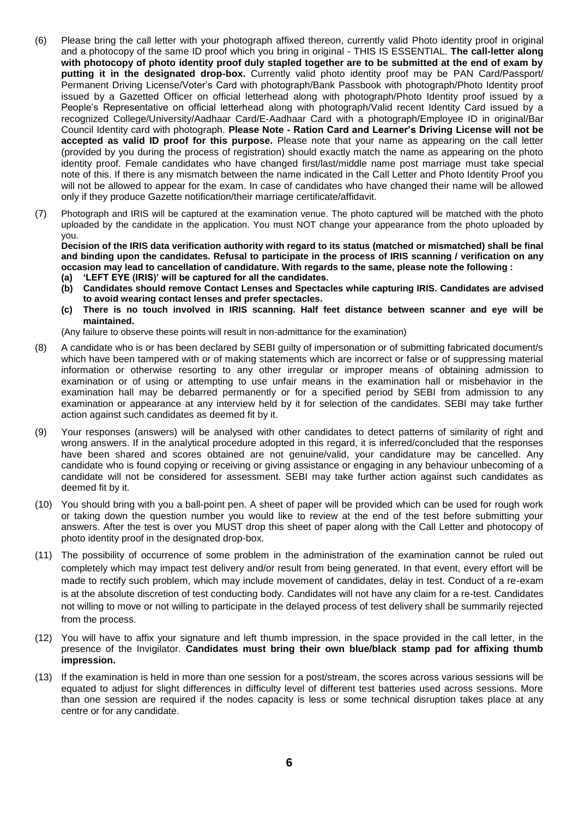- (6) Please bring the call letter with your photograph affixed thereon, currently valid Photo identity proof in original and a photocopy of the same ID proof which you bring in original - THIS IS ESSENTIAL. **The call-letter along with photocopy of photo identity proof duly stapled together are to be submitted at the end of exam by putting it in the designated drop-box.** Currently valid photo identity proof may be PAN Card/Passport/ Permanent Driving License/Voter's Card with photograph/Bank Passbook with photograph/Photo Identity proof issued by a Gazetted Officer on official letterhead along with photograph/Photo Identity proof issued by a People's Representative on official letterhead along with photograph/Valid recent Identity Card issued by a recognized College/University/Aadhaar Card/E-Aadhaar Card with a photograph/Employee ID in original/Bar Council Identity card with photograph. **Please Note - Ration Card and Learner's Driving License will not be accepted as valid ID proof for this purpose.** Please note that your name as appearing on the call letter (provided by you during the process of registration) should exactly match the name as appearing on the photo identity proof. Female candidates who have changed first/last/middle name post marriage must take special note of this. If there is any mismatch between the name indicated in the Call Letter and Photo Identity Proof you will not be allowed to appear for the exam. In case of candidates who have changed their name will be allowed only if they produce Gazette notification/their marriage certificate/affidavit.
- (7) Photograph and IRIS will be captured at the examination venue. The photo captured will be matched with the photo uploaded by the candidate in the application. You must NOT change your appearance from the photo uploaded by you.

**Decision of the IRIS data verification authority with regard to its status (matched or mismatched) shall be final and binding upon the candidates. Refusal to participate in the process of IRIS scanning / verification on any occasion may lead to cancellation of candidature. With regards to the same, please note the following :**

- **(a) 'LEFT EYE (IRIS)' will be captured for all the candidates.**
- **(b) Candidates should remove Contact Lenses and Spectacles while capturing IRIS. Candidates are advised to avoid wearing contact lenses and prefer spectacles.**
- **(c) There is no touch involved in IRIS scanning. Half feet distance between scanner and eye will be maintained.**

(Any failure to observe these points will result in non-admittance for the examination)

- (8) A candidate who is or has been declared by SEBI guilty of impersonation or of submitting fabricated document/s which have been tampered with or of making statements which are incorrect or false or of suppressing material information or otherwise resorting to any other irregular or improper means of obtaining admission to examination or of using or attempting to use unfair means in the examination hall or misbehavior in the examination hall may be debarred permanently or for a specified period by SEBI from admission to any examination or appearance at any interview held by it for selection of the candidates. SEBI may take further action against such candidates as deemed fit by it.
- (9) Your responses (answers) will be analysed with other candidates to detect patterns of similarity of right and wrong answers. If in the analytical procedure adopted in this regard, it is inferred/concluded that the responses have been shared and scores obtained are not genuine/valid, your candidature may be cancelled. Any candidate who is found copying or receiving or giving assistance or engaging in any behaviour unbecoming of a candidate will not be considered for assessment. SEBI may take further action against such candidates as deemed fit by it.
- (10) You should bring with you a ball-point pen. A sheet of paper will be provided which can be used for rough work or taking down the question number you would like to review at the end of the test before submitting your answers. After the test is over you MUST drop this sheet of paper along with the Call Letter and photocopy of photo identity proof in the designated drop-box.
- (11) The possibility of occurrence of some problem in the administration of the examination cannot be ruled out completely which may impact test delivery and/or result from being generated. In that event, every effort will be made to rectify such problem, which may include movement of candidates, delay in test. Conduct of a re-exam is at the absolute discretion of test conducting body. Candidates will not have any claim for a re-test. Candidates not willing to move or not willing to participate in the delayed process of test delivery shall be summarily rejected from the process.
- (12) You will have to affix your signature and left thumb impression, in the space provided in the call letter, in the presence of the Invigilator. **Candidates must bring their own blue/black stamp pad for affixing thumb impression.**
- (13) If the examination is held in more than one session for a post/stream, the scores across various sessions will be equated to adjust for slight differences in difficulty level of different test batteries used across sessions. More than one session are required if the nodes capacity is less or some technical disruption takes place at any centre or for any candidate.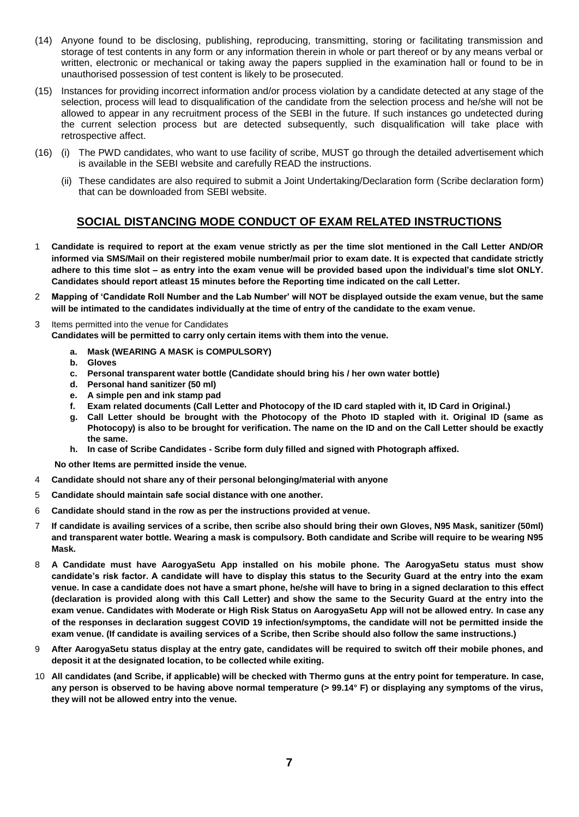- (14) Anyone found to be disclosing, publishing, reproducing, transmitting, storing or facilitating transmission and storage of test contents in any form or any information therein in whole or part thereof or by any means verbal or written, electronic or mechanical or taking away the papers supplied in the examination hall or found to be in unauthorised possession of test content is likely to be prosecuted.
- (15) Instances for providing incorrect information and/or process violation by a candidate detected at any stage of the selection, process will lead to disqualification of the candidate from the selection process and he/she will not be allowed to appear in any recruitment process of the SEBI in the future. If such instances go undetected during the current selection process but are detected subsequently, such disqualification will take place with retrospective affect.
- (16) (i) The PWD candidates, who want to use facility of scribe, MUST go through the detailed advertisement which is available in the SEBI website and carefully READ the instructions.
	- (ii) These candidates are also required to submit a Joint Undertaking/Declaration form (Scribe declaration form) that can be downloaded from SEBI website.

# **SOCIAL DISTANCING MODE CONDUCT OF EXAM RELATED INSTRUCTIONS**

- 1 **Candidate is required to report at the exam venue strictly as per the time slot mentioned in the Call Letter AND/OR informed via SMS/Mail on their registered mobile number/mail prior to exam date. It is expected that candidate strictly adhere to this time slot – as entry into the exam venue will be provided based upon the individual's time slot ONLY. Candidates should report atleast 15 minutes before the Reporting time indicated on the call Letter.**
- 2 **Mapping of 'Candidate Roll Number and the Lab Number' will NOT be displayed outside the exam venue, but the same will be intimated to the candidates individually at the time of entry of the candidate to the exam venue.**
- 3 Items permitted into the venue for Candidates
- **Candidates will be permitted to carry only certain items with them into the venue.** 
	- **a. Mask (WEARING A MASK is COMPULSORY)**
	- **b. Gloves**
	- **c. Personal transparent water bottle (Candidate should bring his / her own water bottle)**
	- **d. Personal hand sanitizer (50 ml)**
	- **e. A simple pen and ink stamp pad**
	- **f. Exam related documents (Call Letter and Photocopy of the ID card stapled with it, ID Card in Original.)**
	- **g. Call Letter should be brought with the Photocopy of the Photo ID stapled with it. Original ID (same as Photocopy) is also to be brought for verification. The name on the ID and on the Call Letter should be exactly the same.**
	- **h. In case of Scribe Candidates - Scribe form duly filled and signed with Photograph affixed.**

 **No other Items are permitted inside the venue.**

- 4 **Candidate should not share any of their personal belonging/material with anyone**
- 5 **Candidate should maintain safe social distance with one another.**
- 6 **Candidate should stand in the row as per the instructions provided at venue.**
- 7 **If candidate is availing services of a scribe, then scribe also should bring their own Gloves, N95 Mask, sanitizer (50ml) and transparent water bottle. Wearing a mask is compulsory. Both candidate and Scribe will require to be wearing N95 Mask.**
- 8 **A Candidate must have AarogyaSetu App installed on his mobile phone. The AarogyaSetu status must show candidate's risk factor. A candidate will have to display this status to the Security Guard at the entry into the exam venue. In case a candidate does not have a smart phone, he/she will have to bring in a signed declaration to this effect (declaration is provided along with this Call Letter) and show the same to the Security Guard at the entry into the exam venue. Candidates with Moderate or High Risk Status on AarogyaSetu App will not be allowed entry. In case any of the responses in declaration suggest COVID 19 infection/symptoms, the candidate will not be permitted inside the exam venue. (If candidate is availing services of a Scribe, then Scribe should also follow the same instructions.)**
- 9 **After AarogyaSetu status display at the entry gate, candidates will be required to switch off their mobile phones, and deposit it at the designated location, to be collected while exiting.**
- 10 **All candidates (and Scribe, if applicable) will be checked with Thermo guns at the entry point for temperature. In case, any person is observed to be having above normal temperature (> 99.14° F) or displaying any symptoms of the virus, they will not be allowed entry into the venue.**